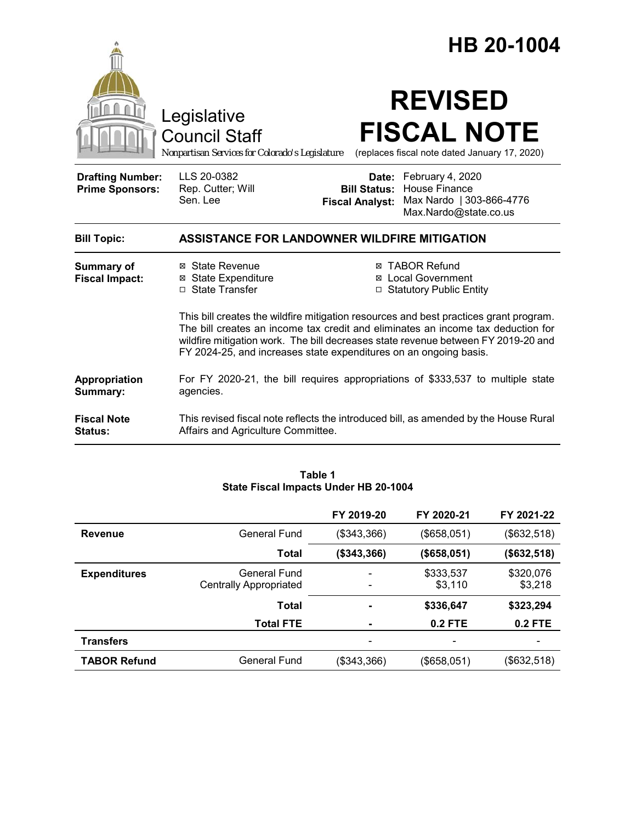|                                                   |                                                                                                                                                                                                                                                                                                                                     |                                               | HB 20-1004                                                                                          |
|---------------------------------------------------|-------------------------------------------------------------------------------------------------------------------------------------------------------------------------------------------------------------------------------------------------------------------------------------------------------------------------------------|-----------------------------------------------|-----------------------------------------------------------------------------------------------------|
|                                                   | Legislative<br><b>Council Staff</b><br>Nonpartisan Services for Colorado's Legislature                                                                                                                                                                                                                                              |                                               | <b>REVISED</b><br><b>FISCAL NOTE</b><br>(replaces fiscal note dated January 17, 2020)               |
| <b>Drafting Number:</b><br><b>Prime Sponsors:</b> | LLS 20-0382<br>Rep. Cutter; Will<br>Sen. Lee                                                                                                                                                                                                                                                                                        | <b>Bill Status:</b><br><b>Fiscal Analyst:</b> | Date: February 4, 2020<br><b>House Finance</b><br>Max Nardo   303-866-4776<br>Max.Nardo@state.co.us |
| <b>Bill Topic:</b>                                | <b>ASSISTANCE FOR LANDOWNER WILDFIRE MITIGATION</b>                                                                                                                                                                                                                                                                                 |                                               |                                                                                                     |
| Summary of<br><b>Fiscal Impact:</b>               | ⊠ State Revenue<br><b>⊠ State Expenditure</b><br>□ State Transfer                                                                                                                                                                                                                                                                   | ⊠                                             | <b>TABOR Refund</b><br>⊠ Local Government<br>□ Statutory Public Entity                              |
|                                                   | This bill creates the wildfire mitigation resources and best practices grant program.<br>The bill creates an income tax credit and eliminates an income tax deduction for<br>wildfire mitigation work. The bill decreases state revenue between FY 2019-20 and<br>FY 2024-25, and increases state expenditures on an ongoing basis. |                                               |                                                                                                     |
| Appropriation<br>Summary:                         | agencies.                                                                                                                                                                                                                                                                                                                           |                                               | For FY 2020-21, the bill requires appropriations of \$333,537 to multiple state                     |
| <b>Fiscal Note</b><br><b>Status:</b>              | Affairs and Agriculture Committee.                                                                                                                                                                                                                                                                                                  |                                               | This revised fiscal note reflects the introduced bill, as amended by the House Rural                |

|                     |                                               | FY 2019-20  | FY 2020-21           | FY 2021-22           |
|---------------------|-----------------------------------------------|-------------|----------------------|----------------------|
| <b>Revenue</b>      | General Fund                                  | (\$343,366) | (\$658,051)          | (\$632,518)          |
|                     | Total                                         | (\$343,366) | (\$658,051)          | (\$632,518)          |
| <b>Expenditures</b> | General Fund<br><b>Centrally Appropriated</b> |             | \$333,537<br>\$3.110 | \$320,076<br>\$3,218 |
|                     | Total                                         |             | \$336,647            | \$323,294            |
|                     | <b>Total FTE</b>                              | -           | 0.2 FTE              | 0.2 FTE              |
| <b>Transfers</b>    |                                               |             |                      |                      |
| <b>TABOR Refund</b> | General Fund                                  | (\$343,366) | (\$658,051)          | (\$632,518)          |

#### **Table 1 State Fiscal Impacts Under HB 20-1004**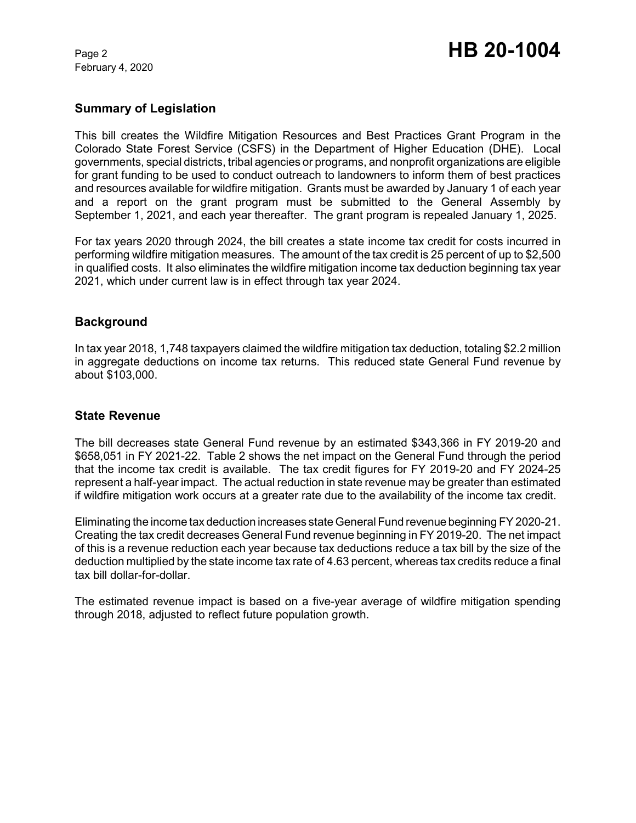February 4, 2020

# **Summary of Legislation**

This bill creates the Wildfire Mitigation Resources and Best Practices Grant Program in the Colorado State Forest Service (CSFS) in the Department of Higher Education (DHE). Local governments, special districts, tribal agencies or programs, and nonprofit organizations are eligible for grant funding to be used to conduct outreach to landowners to inform them of best practices and resources available for wildfire mitigation. Grants must be awarded by January 1 of each year and a report on the grant program must be submitted to the General Assembly by September 1, 2021, and each year thereafter. The grant program is repealed January 1, 2025.

For tax years 2020 through 2024, the bill creates a state income tax credit for costs incurred in performing wildfire mitigation measures. The amount of the tax credit is 25 percent of up to \$2,500 in qualified costs. It also eliminates the wildfire mitigation income tax deduction beginning tax year 2021, which under current law is in effect through tax year 2024.

# **Background**

In tax year 2018, 1,748 taxpayers claimed the wildfire mitigation tax deduction, totaling \$2.2 million in aggregate deductions on income tax returns. This reduced state General Fund revenue by about \$103,000.

# **State Revenue**

The bill decreases state General Fund revenue by an estimated \$343,366 in FY 2019-20 and \$658,051 in FY 2021-22. Table 2 shows the net impact on the General Fund through the period that the income tax credit is available. The tax credit figures for FY 2019-20 and FY 2024-25 represent a half-year impact. The actual reduction in state revenue may be greater than estimated if wildfire mitigation work occurs at a greater rate due to the availability of the income tax credit.

Eliminating the income tax deduction increases state General Fund revenue beginning FY 2020-21. Creating the tax credit decreases General Fund revenue beginning in FY 2019-20. The net impact of this is a revenue reduction each year because tax deductions reduce a tax bill by the size of the deduction multiplied by the state income tax rate of 4.63 percent, whereas tax credits reduce a final tax bill dollar-for-dollar.

The estimated revenue impact is based on a five-year average of wildfire mitigation spending through 2018, adjusted to reflect future population growth.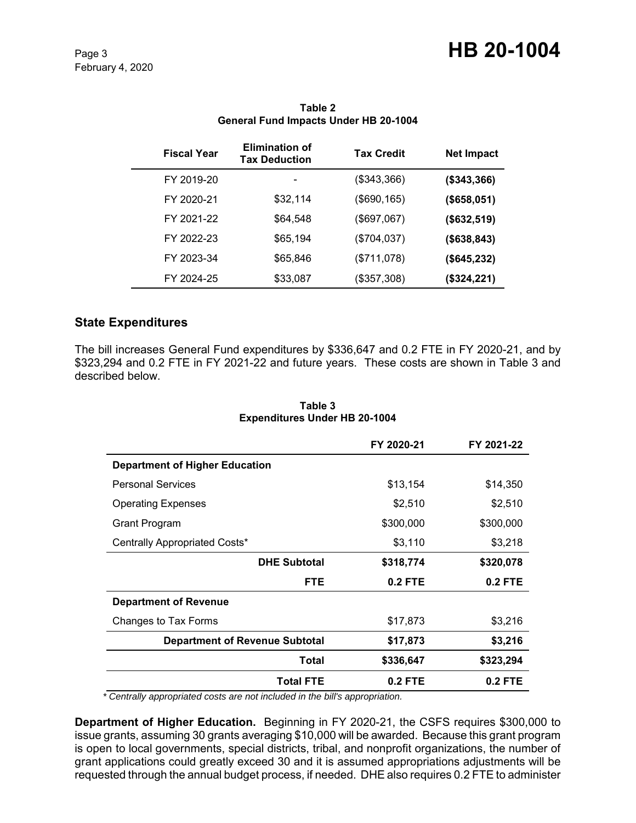| <b>Fiscal Year</b> | <b>Elimination of</b><br><b>Tax Deduction</b> | <b>Tax Credit</b> | <b>Net Impact</b> |
|--------------------|-----------------------------------------------|-------------------|-------------------|
| FY 2019-20         |                                               | $(\$343,366)$     | (\$343,366)       |
| FY 2020-21         | \$32,114                                      | (\$690,165)       | (\$658,051)       |
| FY 2021-22         | \$64.548                                      | (\$697,067)       | (\$632,519)       |
| FY 2022-23         | \$65,194                                      | $(\$704,037)$     | (\$638,843)       |
| FY 2023-34         | \$65,846                                      | $(\$711,078)$     | (\$645,232)       |
| FY 2024-25         | \$33,087                                      | (\$357,308)       | (\$324,221)       |

#### **Table 2 General Fund Impacts Under HB 20-1004**

# **State Expenditures**

The bill increases General Fund expenditures by \$336,647 and 0.2 FTE in FY 2020-21, and by \$323,294 and 0.2 FTE in FY 2021-22 and future years. These costs are shown in Table 3 and described below.

|                                       | FY 2020-21     | FY 2021-22 |
|---------------------------------------|----------------|------------|
| <b>Department of Higher Education</b> |                |            |
| <b>Personal Services</b>              | \$13,154       | \$14,350   |
| <b>Operating Expenses</b>             | \$2,510        | \$2,510    |
| Grant Program                         | \$300,000      | \$300,000  |
| Centrally Appropriated Costs*         | \$3,110        | \$3,218    |
| <b>DHE Subtotal</b>                   | \$318,774      | \$320,078  |
| <b>FTE</b>                            | <b>0.2 FTE</b> | 0.2 FTE    |
| <b>Department of Revenue</b>          |                |            |
| Changes to Tax Forms                  | \$17,873       | \$3,216    |
| <b>Department of Revenue Subtotal</b> | \$17,873       | \$3,216    |
| Total                                 | \$336,647      | \$323,294  |
| <b>Total FTE</b>                      | $0.2$ FTE      | $0.2$ FTE  |

#### **Table 3 Expenditures Under HB 20-1004**

 *\* Centrally appropriated costs are not included in the bill's appropriation.*

**Department of Higher Education.** Beginning in FY 2020-21, the CSFS requires \$300,000 to issue grants, assuming 30 grants averaging \$10,000 will be awarded. Because this grant program is open to local governments, special districts, tribal, and nonprofit organizations, the number of grant applications could greatly exceed 30 and it is assumed appropriations adjustments will be requested through the annual budget process, if needed. DHE also requires 0.2 FTE to administer